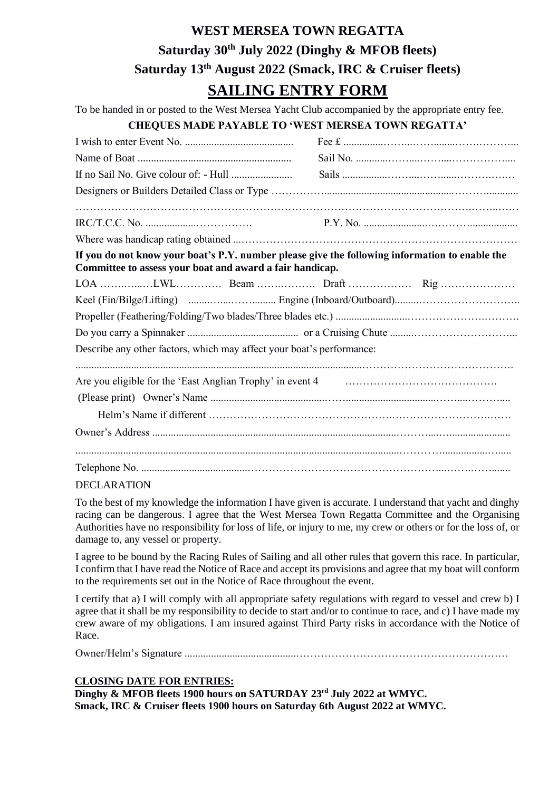# **WEST MERSEA TOWN REGATTA Saturday 30th July 2022 (Dinghy & MFOB fleets) Saturday 13th August 2022 (Smack, IRC & Cruiser fleets) SAILING ENTRY FORM**

To be handed in or posted to the West Mersea Yacht Club accompanied by the appropriate entry fee.

### **CHEQUES MADE PAYABLE TO 'WEST MERSEA TOWN REGATTA'**

| If you do not know your boat's P.Y. number please give the following information to enable the<br>Committee to assess your boat and award a fair handicap. |  |  |  |
|------------------------------------------------------------------------------------------------------------------------------------------------------------|--|--|--|
|                                                                                                                                                            |  |  |  |
|                                                                                                                                                            |  |  |  |
|                                                                                                                                                            |  |  |  |
|                                                                                                                                                            |  |  |  |
| Describe any other factors, which may affect your boat's performance:                                                                                      |  |  |  |
|                                                                                                                                                            |  |  |  |
|                                                                                                                                                            |  |  |  |
|                                                                                                                                                            |  |  |  |
|                                                                                                                                                            |  |  |  |
|                                                                                                                                                            |  |  |  |
|                                                                                                                                                            |  |  |  |
|                                                                                                                                                            |  |  |  |

### DECLARATION

To the best of my knowledge the information I have given is accurate. I understand that yacht and dinghy racing can be dangerous. I agree that the West Mersea Town Regatta Committee and the Organising Authorities have no responsibility for loss of life, or injury to me, my crew or others or for the loss of, or damage to, any vessel or property.

I agree to be bound by the Racing Rules of Sailing and all other rules that govern this race. In particular, I confirm that I have read the Notice of Race and accept its provisions and agree that my boat will conform to the requirements set out in the Notice of Race throughout the event.

I certify that a) I will comply with all appropriate safety regulations with regard to vessel and crew b) I agree that it shall be my responsibility to decide to start and/or to continue to race, and c) I have made my crew aware of my obligations. I am insured against Third Party risks in accordance with the Notice of Race.

Owner/Helm's Signature ..........................................……………………………………………………

### **CLOSING DATE FOR ENTRIES:**

**Dinghy & MFOB fleets 1900 hours on SATURDAY 23rd July 2022 at WMYC. Smack, IRC & Cruiser fleets 1900 hours on Saturday 6th August 2022 at WMYC.**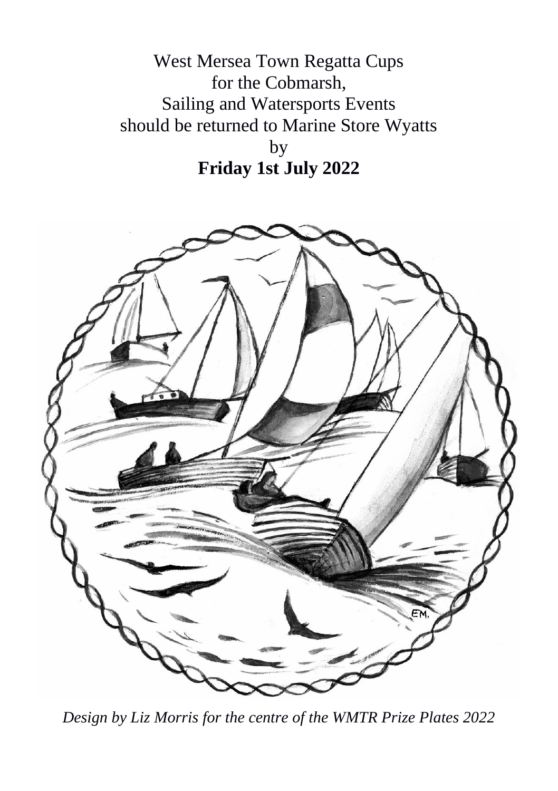West Mersea Town Regatta Cups for the Cobmarsh, Sailing and Watersports Events should be returned to Marine Store Wyatts by **Friday 1st July 2022**



*Design by Liz Morris for the centre of the WMTR Prize Plates 2022*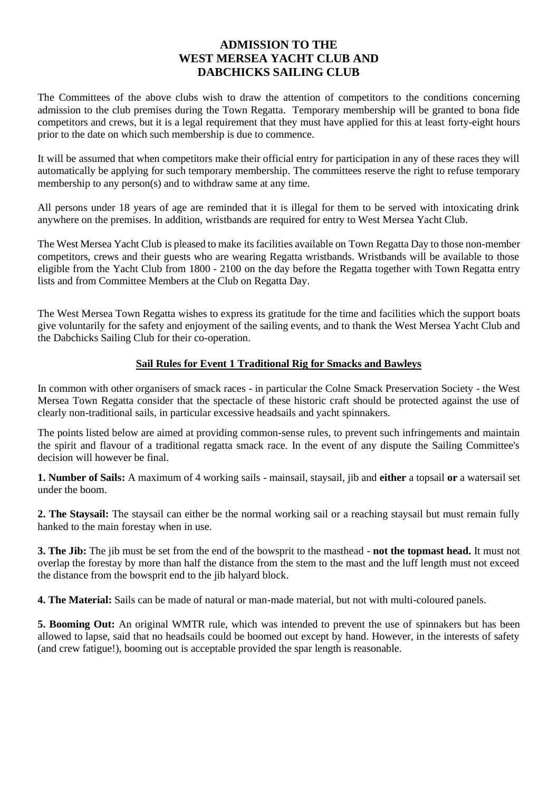# **ADMISSION TO THE WEST MERSEA YACHT CLUB AND DABCHICKS SAILING CLUB**

The Committees of the above clubs wish to draw the attention of competitors to the conditions concerning admission to the club premises during the Town Regatta. Temporary membership will be granted to bona fide competitors and crews, but it is a legal requirement that they must have applied for this at least forty-eight hours prior to the date on which such membership is due to commence.

It will be assumed that when competitors make their official entry for participation in any of these races they will automatically be applying for such temporary membership. The committees reserve the right to refuse temporary membership to any person(s) and to withdraw same at any time.

All persons under 18 years of age are reminded that it is illegal for them to be served with intoxicating drink anywhere on the premises. In addition, wristbands are required for entry to West Mersea Yacht Club.

The West Mersea Yacht Club is pleased to make its facilities available on Town Regatta Day to those non-member competitors, crews and their guests who are wearing Regatta wristbands. Wristbands will be available to those eligible from the Yacht Club from 1800 - 2100 on the day before the Regatta together with Town Regatta entry lists and from Committee Members at the Club on Regatta Day.

The West Mersea Town Regatta wishes to express its gratitude for the time and facilities which the support boats give voluntarily for the safety and enjoyment of the sailing events, and to thank the West Mersea Yacht Club and the Dabchicks Sailing Club for their co-operation.

### **Sail Rules for Event 1 Traditional Rig for Smacks and Bawleys**

In common with other organisers of smack races - in particular the Colne Smack Preservation Society - the West Mersea Town Regatta consider that the spectacle of these historic craft should be protected against the use of clearly non-traditional sails, in particular excessive headsails and yacht spinnakers.

The points listed below are aimed at providing common-sense rules, to prevent such infringements and maintain the spirit and flavour of a traditional regatta smack race. In the event of any dispute the Sailing Committee's decision will however be final.

**1. Number of Sails:** A maximum of 4 working sails - mainsail, staysail, jib and **either** a topsail **or** a watersail set under the boom.

**2. The Staysail:** The staysail can either be the normal working sail or a reaching staysail but must remain fully hanked to the main forestay when in use.

**3. The Jib:** The jib must be set from the end of the bowsprit to the masthead - **not the topmast head.** It must not overlap the forestay by more than half the distance from the stem to the mast and the luff length must not exceed the distance from the bowsprit end to the jib halyard block.

**4. The Material:** Sails can be made of natural or man-made material, but not with multi-coloured panels.

**5. Booming Out:** An original WMTR rule, which was intended to prevent the use of spinnakers but has been allowed to lapse, said that no headsails could be boomed out except by hand. However, in the interests of safety (and crew fatigue!), booming out is acceptable provided the spar length is reasonable.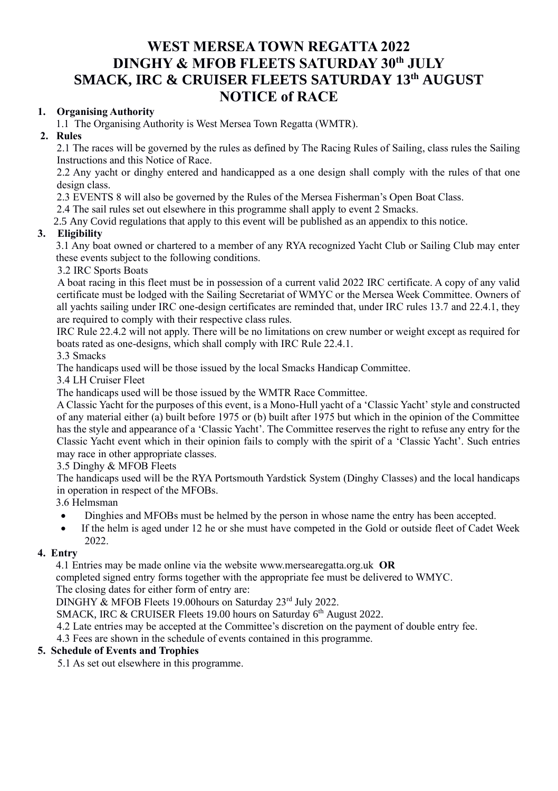# **WEST MERSEA TOWN REGATTA 2022 DINGHY & MFOB FLEETS SATURDAY 30th JULY SMACK, IRC & CRUISER FLEETS SATURDAY 13th AUGUST NOTICE of RACE**

### **1. Organising Authority**

1.1 The Organising Authority is West Mersea Town Regatta (WMTR).

### **2. Rules**

2.1 The races will be governed by the rules as defined by The Racing Rules of Sailing, class rules the Sailing Instructions and this Notice of Race.

2.2 Any yacht or dinghy entered and handicapped as a one design shall comply with the rules of that one design class.

2.3 EVENTS 8 will also be governed by the Rules of the Mersea Fisherman's Open Boat Class.

2.4 The sail rules set out elsewhere in this programme shall apply to event 2 Smacks.

2.5 Any Covid regulations that apply to this event will be published as an appendix to this notice.

# **3. Eligibility**

3.1 Any boat owned or chartered to a member of any RYA recognized Yacht Club or Sailing Club may enter these events subject to the following conditions.

3.2 IRC Sports Boats

A boat racing in this fleet must be in possession of a current valid 2022 IRC certificate. A copy of any valid certificate must be lodged with the Sailing Secretariat of WMYC or the Mersea Week Committee. Owners of all yachts sailing under IRC one-design certificates are reminded that, under IRC rules 13.7 and 22.4.1, they are required to comply with their respective class rules.

IRC Rule 22.4.2 will not apply. There will be no limitations on crew number or weight except as required for boats rated as one-designs, which shall comply with IRC Rule 22.4.1.

3.3 Smacks

The handicaps used will be those issued by the local Smacks Handicap Committee.

3.4 LH Cruiser Fleet

The handicaps used will be those issued by the WMTR Race Committee.

A Classic Yacht for the purposes of this event, is a Mono-Hull yacht of a 'Classic Yacht' style and constructed of any material either (a) built before 1975 or (b) built after 1975 but which in the opinion of the Committee has the style and appearance of a 'Classic Yacht'. The Committee reserves the right to refuse any entry for the Classic Yacht event which in their opinion fails to comply with the spirit of a 'Classic Yacht'. Such entries may race in other appropriate classes.

3.5 Dinghy & MFOB Fleets

The handicaps used will be the RYA Portsmouth Yardstick System (Dinghy Classes) and the local handicaps in operation in respect of the MFOBs.

3.6 Helmsman

- Dinghies and MFOBs must be helmed by the person in whose name the entry has been accepted.
- If the helm is aged under 12 he or she must have competed in the Gold or outside fleet of Cadet Week 2022.

# **4. Entry**

4.1 Entries may be made online via the website www.mersearegatta.org.uk **OR**

completed signed entry forms together with the appropriate fee must be delivered to WMYC.

The closing dates for either form of entry are:

DINGHY & MFOB Fleets 19.00 hours on Saturday 23rd July 2022.

SMACK, IRC & CRUISER Fleets 19.00 hours on Saturday 6<sup>th</sup> August 2022.

4.2 Late entries may be accepted at the Committee's discretion on the payment of double entry fee.

4.3 Fees are shown in the schedule of events contained in this programme.

# **5. Schedule of Events and Trophies**

5.1 As set out elsewhere in this programme.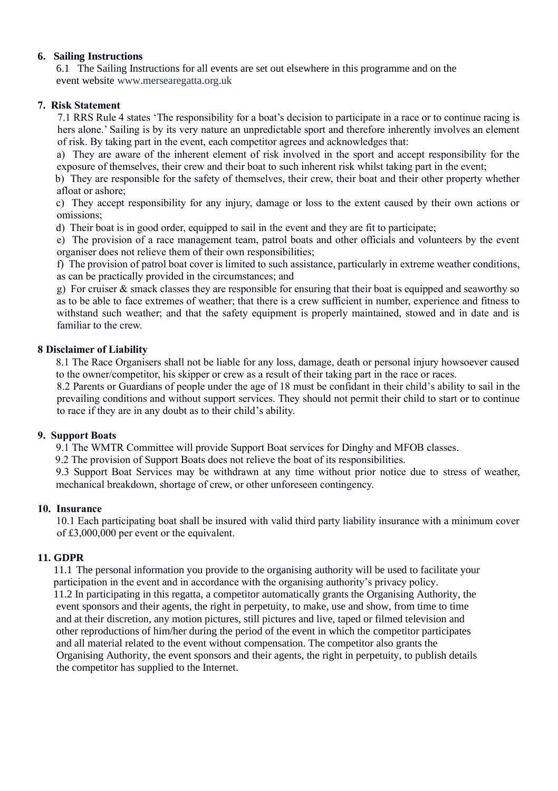### **6. Sailing Instructions**

 6.1 The Sailing Instructions for all events are set out elsewhere in this programme and on the event website www.mersearegatta.org.uk

#### **7. Risk Statement**

7.1 RRS Rule 4 states 'The responsibility for a boat's decision to participate in a race or to continue racing is hers alone.' Sailing is by its very nature an unpredictable sport and therefore inherently involves an element of risk. By taking part in the event, each competitor agrees and acknowledges that:

a) They are aware of the inherent element of risk involved in the sport and accept responsibility for the exposure of themselves, their crew and their boat to such inherent risk whilst taking part in the event;

b) They are responsible for the safety of themselves, their crew, their boat and their other property whether afloat or ashore;

c) They accept responsibility for any injury, damage or loss to the extent caused by their own actions or omissions;

d) Their boat is in good order, equipped to sail in the event and they are fit to participate;

e) The provision of a race management team, patrol boats and other officials and volunteers by the event organiser does not relieve them of their own responsibilities;

f) The provision of patrol boat cover is limited to such assistance, particularly in extreme weather conditions, as can be practically provided in the circumstances; and

g) For cruiser & smack classes they are responsible for ensuring that their boat is equipped and seaworthy so as to be able to face extremes of weather; that there is a crew sufficient in number, experience and fitness to withstand such weather; and that the safety equipment is properly maintained, stowed and in date and is familiar to the crew.

### **8 Disclaimer of Liability**

8.1 The Race Organisers shall not be liable for any loss, damage, death or personal injury howsoever caused to the owner/competitor, his skipper or crew as a result of their taking part in the race or races.

8.2 Parents or Guardians of people under the age of 18 must be confidant in their child's ability to sail in the prevailing conditions and without support services. They should not permit their child to start or to continue to race if they are in any doubt as to their child's ability.

### **9. Support Boats**

9.1 The WMTR Committee will provide Support Boat services for Dinghy and MFOB classes.

9.2 The provision of Support Boats does not relieve the boat of its responsibilities.

9.3 Support Boat Services may be withdrawn at any time without prior notice due to stress of weather, mechanical breakdown, shortage of crew, or other unforeseen contingency.

#### **10. Insurance**

10.1 Each participating boat shall be insured with valid third party liability insurance with a minimum cover of £3,000,000 per event or the equivalent.

### **11. GDPR**

 11.1 The personal information you provide to the organising authority will be used to facilitate your participation in the event and in accordance with the organising authority's privacy policy. 11.2 In participating in this regatta, a competitor automatically grants the Organising Authority, the event sponsors and their agents, the right in perpetuity, to make, use and show, from time to time and at their discretion, any motion pictures, still pictures and live, taped or filmed television and other reproductions of him/her during the period of the event in which the competitor participates and all material related to the event without compensation. The competitor also grants the Organising Authority, the event sponsors and their agents, the right in perpetuity, to publish details the competitor has supplied to the Internet.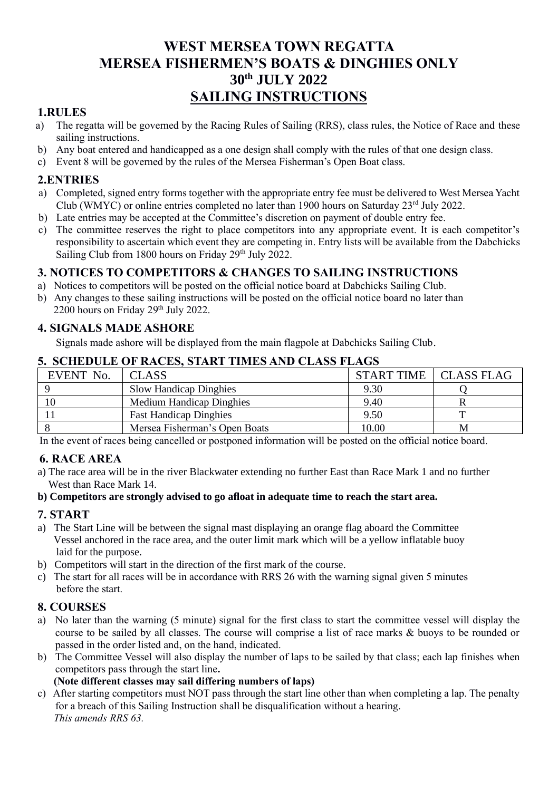# **WEST MERSEA TOWN REGATTA MERSEA FISHERMEN'S BOATS & DINGHIES ONLY 30th JULY 2022 SAILING INSTRUCTIONS**

# **1.RULES**

- a) The regatta will be governed by the Racing Rules of Sailing (RRS), class rules, the Notice of Race and these sailing instructions.
- b) Any boat entered and handicapped as a one design shall comply with the rules of that one design class.
- c) Event 8 will be governed by the rules of the Mersea Fisherman's Open Boat class.

# **2.ENTRIES**

- a) Completed, signed entry forms together with the appropriate entry fee must be delivered to West Mersea Yacht Club (WMYC) or online entries completed no later than 1900 hours on Saturday 23rd July 2022.
- b) Late entries may be accepted at the Committee's discretion on payment of double entry fee.
- c) The committee reserves the right to place competitors into any appropriate event. It is each competitor's responsibility to ascertain which event they are competing in. Entry lists will be available from the Dabchicks Sailing Club from 1800 hours on Friday 29<sup>th</sup> July 2022.

# **3. NOTICES TO COMPETITORS & CHANGES TO SAILING INSTRUCTIONS**

- a) Notices to competitors will be posted on the official notice board at Dabchicks Sailing Club.
- b) Any changes to these sailing instructions will be posted on the official notice board no later than 2200 hours on Friday 29th July 2022.

# **4. SIGNALS MADE ASHORE**

Signals made ashore will be displayed from the main flagpole at Dabchicks Sailing Club.

# **5. SCHEDULE OF RACES, START TIMES AND CLASS FLAGS**

| EVENT No. | <b>CLASS</b>                    |       | START TIME   CLASS FLAG |
|-----------|---------------------------------|-------|-------------------------|
|           | <b>Slow Handicap Dinghies</b>   | 9.30  |                         |
| 10        | <b>Medium Handicap Dinghies</b> | 9.40  |                         |
|           | <b>Fast Handicap Dinghies</b>   | 9.50  |                         |
|           | Mersea Fisherman's Open Boats   | 10.00 | М                       |

In the event of races being cancelled or postponed information will be posted on the official notice board.

# **6. RACE AREA**

a) The race area will be in the river Blackwater extending no further East than Race Mark 1 and no further West than Race Mark 14.

### **b) Competitors are strongly advised to go afloat in adequate time to reach the start area.**

# **7. START**

- a) The Start Line will be between the signal mast displaying an orange flag aboard the Committee Vessel anchored in the race area, and the outer limit mark which will be a yellow inflatable buoy laid for the purpose.
- b) Competitors will start in the direction of the first mark of the course.
- c) The start for all races will be in accordance with RRS 26 with the warning signal given 5 minutes before the start.

# **8. COURSES**

- a) No later than the warning (5 minute) signal for the first class to start the committee vessel will display the course to be sailed by all classes. The course will comprise a list of race marks & buoys to be rounded or passed in the order listed and, on the hand, indicated.
- b) The Committee Vessel will also display the number of laps to be sailed by that class; each lap finishes when competitors pass through the start line**.**

# **(Note different classes may sail differing numbers of laps)**

c) After starting competitors must NOT pass through the start line other than when completing a lap. The penalty for a breach of this Sailing Instruction shall be disqualification without a hearing. *This amends RRS 63.*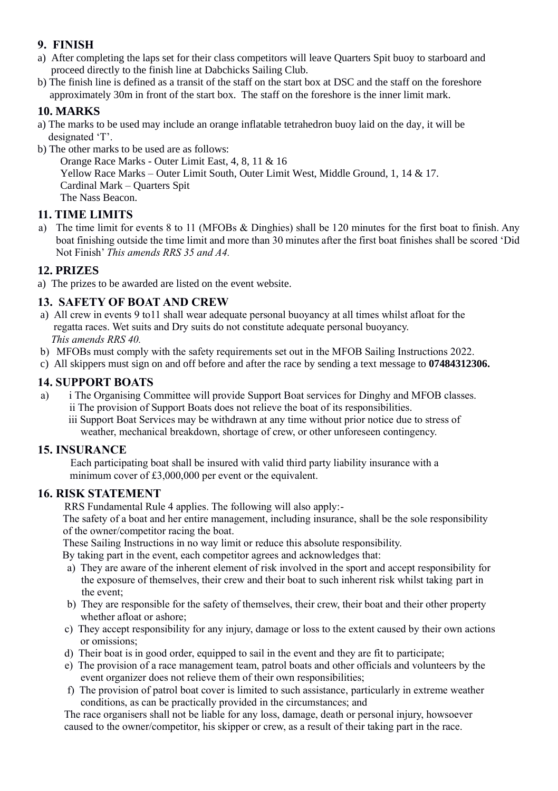# **9. FINISH**

- a) After completing the laps set for their class competitors will leave Quarters Spit buoy to starboard and proceed directly to the finish line at Dabchicks Sailing Club.
- b) The finish line is defined as a transit of the staff on the start box at DSC and the staff on the foreshore approximately 30m in front of the start box. The staff on the foreshore is the inner limit mark.

# **10. MARKS**

- a) The marks to be used may include an orange inflatable tetrahedron buoy laid on the day, it will be designated 'T'.
- b) The other marks to be used are as follows:

Orange Race Marks - Outer Limit East, 4, 8, 11 & 16 Yellow Race Marks – Outer Limit South, Outer Limit West, Middle Ground, 1, 14 & 17. Cardinal Mark – Quarters Spit The Nass Beacon.

# **11. TIME LIMITS**

a) The time limit for events 8 to 11 (MFOBs & Dinghies) shall be 120 minutes for the first boat to finish. Any boat finishing outside the time limit and more than 30 minutes after the first boat finishes shall be scored 'Did Not Finish' *This amends RRS 35 and A4.*

# **12. PRIZES**

a) The prizes to be awarded are listed on the event website.

# **13. SAFETY OF BOAT AND CREW**

- a) All crew in events 9 to11 shall wear adequate personal buoyancy at all times whilst afloat for the regatta races. Wet suits and Dry suits do not constitute adequate personal buoyancy. *This amends RRS 40.*
- b) MFOBs must comply with the safety requirements set out in the MFOB Sailing Instructions 2022.
- c) All skippers must sign on and off before and after the race by sending a text message to **07484312306.**

### **14. SUPPORT BOATS**

- a) i The Organising Committee will provide Support Boat services for Dinghy and MFOB classes. ii The provision of Support Boats does not relieve the boat of its responsibilities.
	- iii Support Boat Services may be withdrawn at any time without prior notice due to stress of weather, mechanical breakdown, shortage of crew, or other unforeseen contingency.

### **15. INSURANCE**

Each participating boat shall be insured with valid third party liability insurance with a minimum cover of £3,000,000 per event or the equivalent.

# **16. RISK STATEMENT**

RRS Fundamental Rule 4 applies. The following will also apply:-

 The safety of a boat and her entire management, including insurance, shall be the sole responsibility of the owner/competitor racing the boat.

These Sailing Instructions in no way limit or reduce this absolute responsibility.

By taking part in the event, each competitor agrees and acknowledges that:

- a) They are aware of the inherent element of risk involved in the sport and accept responsibility for the exposure of themselves, their crew and their boat to such inherent risk whilst taking part in the event;
- b) They are responsible for the safety of themselves, their crew, their boat and their other property whether afloat or ashore;
- c) They accept responsibility for any injury, damage or loss to the extent caused by their own actions or omissions;
- d) Their boat is in good order, equipped to sail in the event and they are fit to participate;
- e) The provision of a race management team, patrol boats and other officials and volunteers by the event organizer does not relieve them of their own responsibilities;
- f) The provision of patrol boat cover is limited to such assistance, particularly in extreme weather conditions, as can be practically provided in the circumstances; and

 The race organisers shall not be liable for any loss, damage, death or personal injury, howsoever caused to the owner/competitor, his skipper or crew, as a result of their taking part in the race.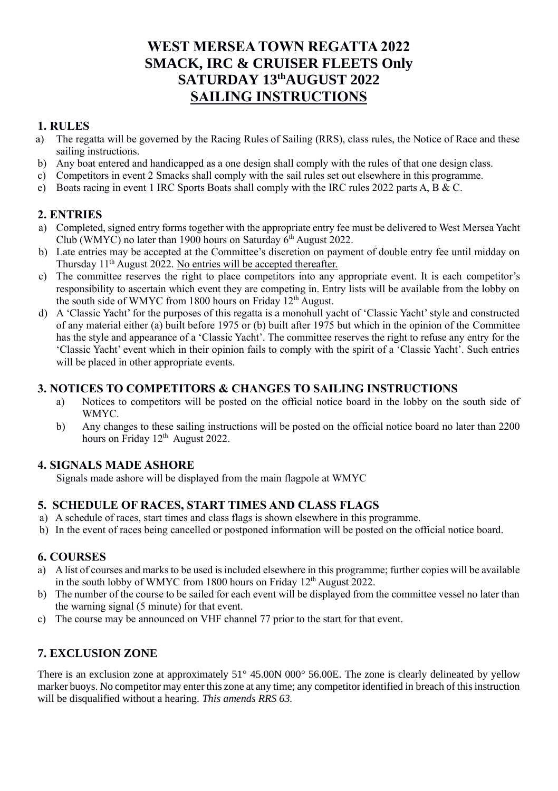# **WEST MERSEA TOWN REGATTA 2022 SMACK, IRC & CRUISER FLEETS Only SATURDAY 13thAUGUST 2022 SAILING INSTRUCTIONS**

# **1. RULES**

- a) The regatta will be governed by the Racing Rules of Sailing (RRS), class rules, the Notice of Race and these sailing instructions.
- b) Any boat entered and handicapped as a one design shall comply with the rules of that one design class.
- c) Competitors in event 2 Smacks shall comply with the sail rules set out elsewhere in this programme.
- e) Boats racing in event 1 IRC Sports Boats shall comply with the IRC rules 2022 parts A, B & C.

# **2. ENTRIES**

- a) Completed, signed entry forms together with the appropriate entry fee must be delivered to West Mersea Yacht Club (WMYC) no later than 1900 hours on Saturday 6<sup>th</sup> August 2022.
- b) Late entries may be accepted at the Committee's discretion on payment of double entry fee until midday on Thursday 11<sup>th</sup> August 2022. No entries will be accepted thereafter.
- c) The committee reserves the right to place competitors into any appropriate event. It is each competitor's responsibility to ascertain which event they are competing in. Entry lists will be available from the lobby on the south side of WMYC from 1800 hours on Friday 12<sup>th</sup> August.
- d) A 'Classic Yacht' for the purposes of this regatta is a monohull yacht of 'Classic Yacht' style and constructed of any material either (a) built before 1975 or (b) built after 1975 but which in the opinion of the Committee has the style and appearance of a 'Classic Yacht'. The committee reserves the right to refuse any entry for the 'Classic Yacht' event which in their opinion fails to comply with the spirit of a 'Classic Yacht'. Such entries will be placed in other appropriate events.

# **3. NOTICES TO COMPETITORS & CHANGES TO SAILING INSTRUCTIONS**

- a) Notices to competitors will be posted on the official notice board in the lobby on the south side of WMYC.
- b) Any changes to these sailing instructions will be posted on the official notice board no later than 2200 hours on Friday 12<sup>th</sup> August 2022.

# **4. SIGNALS MADE ASHORE**

Signals made ashore will be displayed from the main flagpole at WMYC

# **5. SCHEDULE OF RACES, START TIMES AND CLASS FLAGS**

- a) A schedule of races, start times and class flags is shown elsewhere in this programme.
- b) In the event of races being cancelled or postponed information will be posted on the official notice board.

# **6. COURSES**

- a) A list of courses and marks to be used is included elsewhere in this programme; further copies will be available in the south lobby of WMYC from 1800 hours on Friday 12<sup>th</sup> August 2022.
- b) The number of the course to be sailed for each event will be displayed from the committee vessel no later than the warning signal (5 minute) for that event.
- c) The course may be announced on VHF channel 77 prior to the start for that event.

# **7. EXCLUSION ZONE**

There is an exclusion zone at approximately  $51^{\circ}$  45.00N 000<sup>°</sup> 56.00E. The zone is clearly delineated by yellow marker buoys. No competitor may enter this zone at any time; any competitor identified in breach of this instruction will be disqualified without a hearing. *This amends RRS 63.*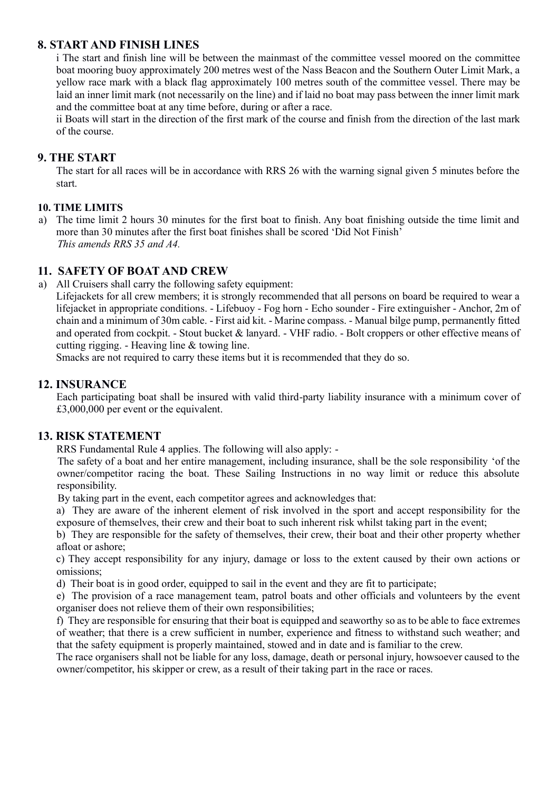# **8. START AND FINISH LINES**

i The start and finish line will be between the mainmast of the committee vessel moored on the committee boat mooring buoy approximately 200 metres west of the Nass Beacon and the Southern Outer Limit Mark, a yellow race mark with a black flag approximately 100 metres south of the committee vessel. There may be laid an inner limit mark (not necessarily on the line) and if laid no boat may pass between the inner limit mark and the committee boat at any time before, during or after a race.

ii Boats will start in the direction of the first mark of the course and finish from the direction of the last mark of the course.

# **9. THE START**

The start for all races will be in accordance with RRS 26 with the warning signal given 5 minutes before the start.

### **10. TIME LIMITS**

a) The time limit 2 hours 30 minutes for the first boat to finish. Any boat finishing outside the time limit and more than 30 minutes after the first boat finishes shall be scored 'Did Not Finish' *This amends RRS 35 and A4.*

# **11. SAFETY OF BOAT AND CREW**

a) All Cruisers shall carry the following safety equipment:

Lifejackets for all crew members; it is strongly recommended that all persons on board be required to wear a lifejacket in appropriate conditions. - Lifebuoy - Fog horn - Echo sounder - Fire extinguisher - Anchor, 2m of chain and a minimum of 30m cable. - First aid kit. - Marine compass. - Manual bilge pump, permanently fitted and operated from cockpit. - Stout bucket & lanyard. - VHF radio. - Bolt croppers or other effective means of cutting rigging. - Heaving line & towing line.

Smacks are not required to carry these items but it is recommended that they do so.

### **12. INSURANCE**

Each participating boat shall be insured with valid third-party liability insurance with a minimum cover of £3,000,000 per event or the equivalent.

# **13. RISK STATEMENT**

RRS Fundamental Rule 4 applies. The following will also apply: -

 The safety of a boat and her entire management, including insurance, shall be the sole responsibility 'of the owner/competitor racing the boat. These Sailing Instructions in no way limit or reduce this absolute responsibility.

By taking part in the event, each competitor agrees and acknowledges that:

a) They are aware of the inherent element of risk involved in the sport and accept responsibility for the exposure of themselves, their crew and their boat to such inherent risk whilst taking part in the event;

b) They are responsible for the safety of themselves, their crew, their boat and their other property whether afloat or ashore;

 c) They accept responsibility for any injury, damage or loss to the extent caused by their own actions or omissions;

d) Their boat is in good order, equipped to sail in the event and they are fit to participate;

e) The provision of a race management team, patrol boats and other officials and volunteers by the event organiser does not relieve them of their own responsibilities;

f) They are responsible for ensuring that their boat is equipped and seaworthy so as to be able to face extremes of weather; that there is a crew sufficient in number, experience and fitness to withstand such weather; and that the safety equipment is properly maintained, stowed and in date and is familiar to the crew.

The race organisers shall not be liable for any loss, damage, death or personal injury, howsoever caused to the owner/competitor, his skipper or crew, as a result of their taking part in the race or races.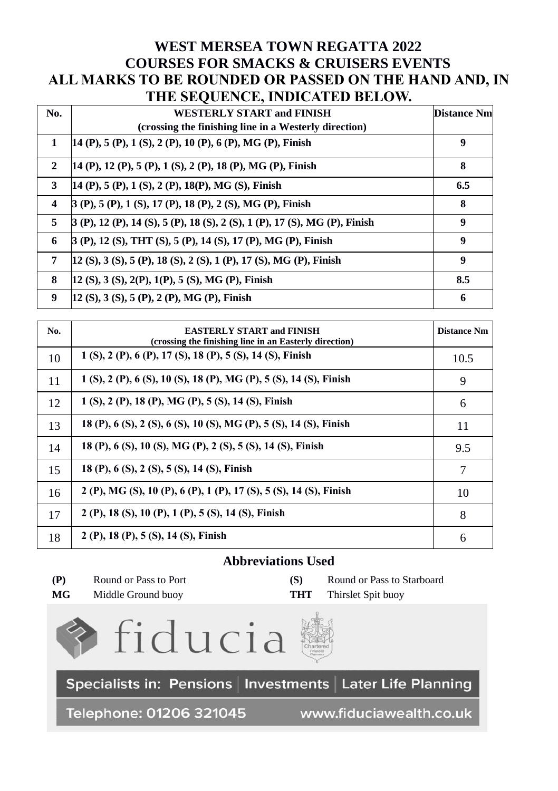# **WEST MERSEA TOWN REGATTA 2022 COURSES FOR SMACKS & CRUISERS EVENTS ALL MARKS TO BE ROUNDED OR PASSED ON THE HAND AND, IN THE SEQUENCE, INDICATED BELOW.**

| $5 - 7$ $5 - 1$ $5 - 1$ $5 - 1$ $5 - 1$ $5 - 1$ $5 - 1$ |                                                                               |                    |
|---------------------------------------------------------|-------------------------------------------------------------------------------|--------------------|
| No.                                                     | <b>WESTERLY START and FINISH</b>                                              | <b>Distance Nm</b> |
|                                                         | (crossing the finishing line in a Westerly direction)                         |                    |
| 1                                                       | 14 (P), 5 (P), 1 (S), 2 (P), 10 (P), 6 (P), MG (P), Finish                    | 9                  |
| $\mathbf{2}$                                            | 14 (P), 12 (P), 5 (P), 1 (S), 2 (P), 18 (P), MG (P), Finish                   | 8                  |
| 3                                                       | 14 (P), 5 (P), 1 (S), 2 (P), 18 (P), MG (S), Finish                           | 6.5                |
| $\overline{4}$                                          | 3 (P), 5 (P), 1 (S), 17 (P), 18 (P), 2 (S), MG (P), Finish                    | 8                  |
| 5                                                       | $(3 (P), 12 (P), 14 (S), 5 (P), 18 (S), 2 (S), 1 (P), 17 (S), MG (P), Finish$ | 9                  |
| 6                                                       | 3 (P), 12 (S), THT (S), 5 (P), 14 (S), 17 (P), MG (P), Finish                 | 9                  |
| 7                                                       | [12 (S), 3 (S), 5 (P), 18 (S), 2 (S), 1 (P), 17 (S), MG (P), Finish           | 9                  |
| 8                                                       | $12$ (S), 3 (S), 2(P), 1(P), 5 (S), MG (P), Finish                            | 8.5                |
| 9                                                       | 12 (S), 3 (S), 5 (P), 2 (P), MG (P), Finish                                   | 6                  |

| No. | <b>EASTERLY START and FINISH</b><br>(crossing the finishing line in an Easterly direction) | <b>Distance Nm</b> |
|-----|--------------------------------------------------------------------------------------------|--------------------|
| 10  | 1 (S), 2 (P), 6 (P), 17 (S), 18 (P), 5 (S), 14 (S), Finish                                 | 10.5               |
| 11  | 1 (S), 2 (P), 6 (S), 10 (S), 18 (P), MG (P), 5 (S), 14 (S), Finish                         | 9                  |
| 12  | 1 (S), 2 (P), 18 (P), MG (P), 5 (S), 14 (S), Finish                                        | 6                  |
| 13  | 18 (P), 6 (S), 2 (S), 6 (S), 10 (S), MG (P), 5 (S), 14 (S), Finish                         | 11                 |
| 14  | 18 (P), 6 (S), 10 (S), MG (P), 2 (S), 5 (S), 14 (S), Finish                                | 9.5                |
| 15  | 18 (P), 6 (S), 2 (S), 5 (S), 14 (S), Finish                                                | 7                  |
| 16  | 2 (P), MG (S), 10 (P), 6 (P), 1 (P), 17 (S), 5 (S), 14 (S), Finish                         | 10                 |
| 17  | 2 (P), 18 (S), 10 (P), 1 (P), 5 (S), 14 (S), Finish                                        | 8                  |
| 18  | 2 (P), 18 (P), 5 (S), 14 (S), Finish                                                       | 6                  |

# **Abbreviations Used**

| (P) | Round or Pass to Po |  |
|-----|---------------------|--|
|     |                     |  |

**(S)** Round or Pass to Starboard **MG** Middle Ground buoy **THT** Thirslet Spit buoy





Specialists in: Pensions | Investments | Later Life Planning

Telephone: 01206 321045

www.fiduciawealth.co.uk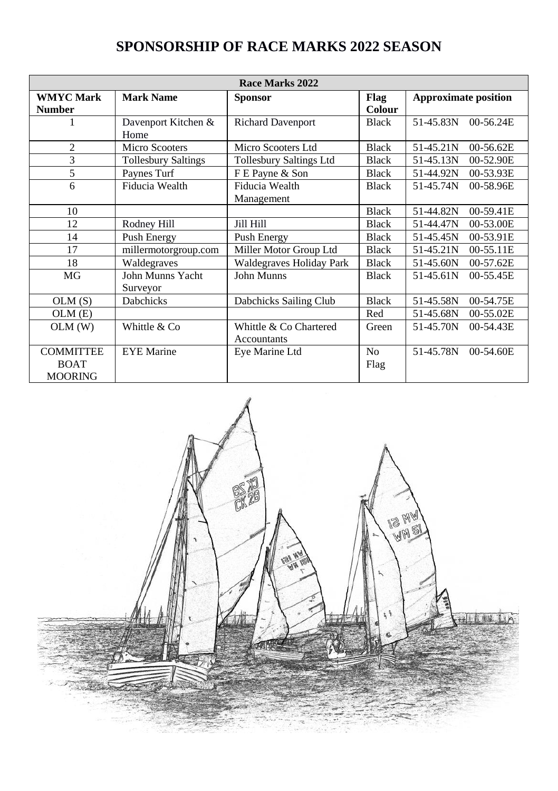| Race Marks 2022                                   |                              |                                       |                        |                             |
|---------------------------------------------------|------------------------------|---------------------------------------|------------------------|-----------------------------|
| <b>WMYC Mark</b><br><b>Number</b>                 | Mark Name                    | <b>Sponsor</b>                        | Flag<br>Colour         | <b>Approximate position</b> |
|                                                   | Davenport Kitchen &<br>Home  | <b>Richard Davenport</b>              | <b>Black</b>           | $00-56.24E$<br>51-45.83N    |
| $\overline{c}$                                    | <b>Micro Scooters</b>        | Micro Scooters Ltd                    | <b>Black</b>           | 51-45.21N<br>00-56.62E      |
| 3                                                 | <b>Tollesbury Saltings</b>   | <b>Tollesbury Saltings Ltd</b>        | <b>Black</b>           | 51-45.13N<br>00-52.90E      |
| 5                                                 | Paynes Turf                  | F E Payne & Son                       | <b>Black</b>           | 51-44.92N<br>00-53.93E      |
| 6                                                 | Fiducia Wealth               | Fiducia Wealth<br>Management          | <b>Black</b>           | 51-45.74N<br>00-58.96E      |
| 10                                                |                              |                                       | <b>Black</b>           | 51-44.82N<br>00-59.41E      |
| 12                                                | Rodney Hill                  | Jill Hill                             | <b>Black</b>           | 51-44.47N<br>00-53.00E      |
| 14                                                | Push Energy                  | Push Energy                           | <b>Black</b>           | 51-45.45N<br>00-53.91E      |
| 17                                                | millermotorgroup.com         | Miller Motor Group Ltd                | <b>Black</b>           | 51-45.21N<br>00-55.11E      |
| 18                                                | Waldegraves                  | Waldegraves Holiday Park              | <b>Black</b>           | 51-45.60N<br>00-57.62E      |
| MG                                                | John Munns Yacht<br>Surveyor | John Munns                            | <b>Black</b>           | 00-55.45E<br>51-45.61N      |
| OLM(S)                                            | <b>Dabchicks</b>             | Dabchicks Sailing Club                | <b>Black</b>           | 51-45.58N<br>00-54.75E      |
| OLM(E)                                            |                              |                                       | Red                    | 51-45.68N<br>00-55.02E      |
| OLM(W)                                            | Whittle & Co                 | Whittle & Co Chartered<br>Accountants | Green                  | 51-45.70N<br>00-54.43E      |
| <b>COMMITTEE</b><br><b>BOAT</b><br><b>MOORING</b> | <b>EYE</b> Marine            | Eye Marine Ltd                        | N <sub>0</sub><br>Flag | 51-45.78N<br>00-54.60E      |

# **SPONSORSHIP OF RACE MARKS 2022 SEASON**